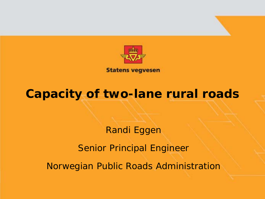

**Statens vegvesen** 

#### **Capacity of two-lane rural roads**

Randi Eggen Senior Principal Engineer Norwegian Public Roads Administration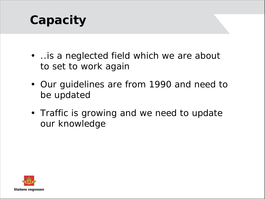# **Capacity**

- ..is a neglected field which we are about to set to work again
- Our guidelines are from 1990 and need to be updated
- Traffic is growing and we need to update our knowledge

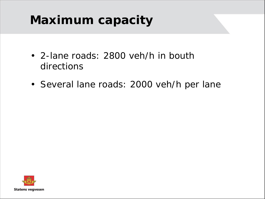## **Maximum capacity**

- 2-lane roads: 2800 veh/h in bouth directions
- Several lane roads: 2000 veh/h per lane

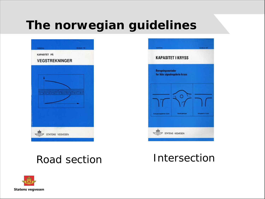## **The norwegian guidelines**

| <b>VEGSTREKNINGER</b> |                |                             |  |
|-----------------------|----------------|-----------------------------|--|
|                       |                |                             |  |
|                       | $2 - 1$        |                             |  |
| $T = 3$               | $\overline{1}$ | <b>Inc. That This Deads</b> |  |
|                       |                |                             |  |
|                       |                |                             |  |



#### Road section **Intersection**

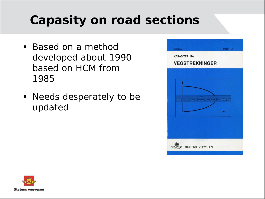# **Capasity on road sections**

- Based on a method developed about 1990 based on HCM from 1985
- Needs desperately to be updated



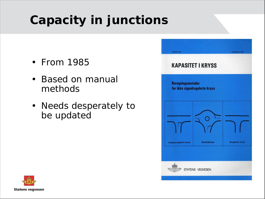# **Capacity in junctions**

- From 1985
- Based on manual methods
- Needs desperately to be updated



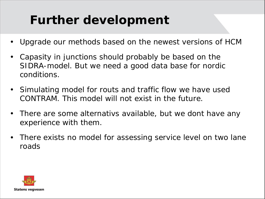## **Further development**

- Upgrade our methods based on the newest versions of HCM
- Capasity in junctions should probably be based on the SIDRA-model. But we need a good data base for nordic conditions.
- Simulating model for routs and traffic flow we have used CONTRAM. This model will not exist in the future.
- There are some alternativs available, but we dont have any experience with them.
- There exists no model for assessing service level on two lane roads

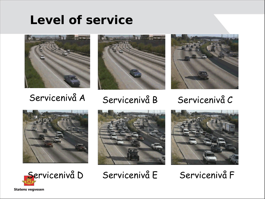### **Level of service**



















**Statens vegvesen**